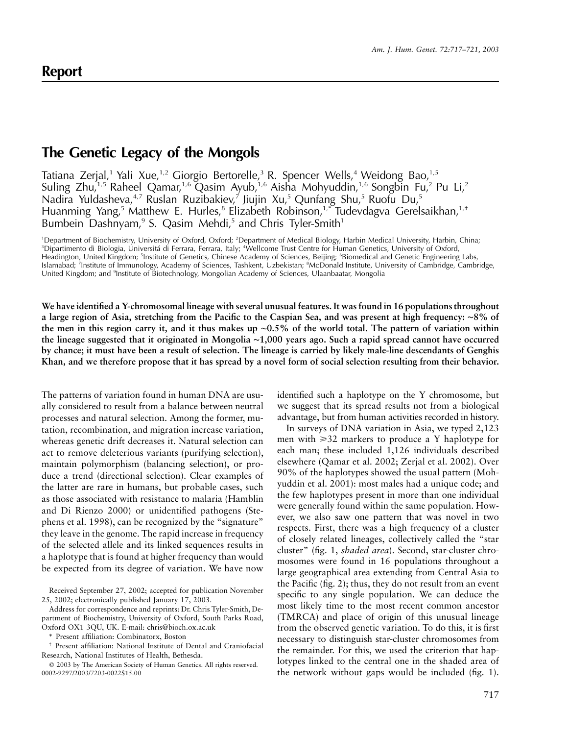## **The Genetic Legacy of the Mongols**

Tatiana Zerjal,<sup>1</sup> Yali Xue,<sup>1,2</sup> Giorgio Bertorelle,<sup>3</sup> R. Spencer Wells,<sup>4</sup> Weidong Bao,<sup>1,5</sup> Suling Zhu,<sup>1,5</sup> Raheel Qamar,<sup>1,6</sup> Qasim Ayub,<sup>1,6</sup> Aisha Mohyuddin,<sup>1,6</sup> Songbin Fu,<sup>2</sup> Pu Li,<sup>2</sup> Nadira Yuldasheva,<sup>4,7</sup> Ruslan Ruzibakiev,<sup>7</sup> Jiujin Xu,<sup>5</sup> Qunfang Shu,<sup>5</sup> Ruofu Du,<sup>5</sup> Huanming Yang,<sup>5</sup> Matthew E. Hurles,<sup>8</sup> Elizabeth Robinson,<sup>1,\*</sup> Tudevdagva Gerelsaikhan,<sup>1,+</sup> Bumbein Dashnyam,<sup>9</sup> S. Qasim Mehdi,<sup>5</sup> and Chris Tyler-Smith<sup>1</sup>

<sup>1</sup>Department of Biochemistry, University of Oxford, Oxford; <sup>2</sup>Department of Medical Biology, Harbin Medical University, Harbin, China; <sup>3</sup>Dipartimento di Biologia, Universitá di Ferrara, Ferrara, Italy; <sup>4</sup>Wellcome Trust Centre for Human Genetics, University of Oxford, Headington, United Kingdom; <sup>5</sup>Institute of Genetics, Chinese Academy of Sciences, Beijing; <sup>6</sup>Biomedical and Genetic Engineering Labs, Islamabad; <sup>7</sup>Institute of Immunology, Academy of Sciences, Tashkent, Uzbekistan; <sup>8</sup>McDonald Institute, University of Cambridge, Cambridge, United Kingdom; and <sup>9</sup>Institute of Biotechnology, Mongolian Academy of Sciences, Ulaanbaatar, Mongolia

**We have identified a Y-chromosomal lineage with several unusual features. It was found in 16 populations throughout a large region of Asia, stretching from the Pacific to the Caspian Sea, and was present at high frequency:** ∼**8% of the men in this region carry it, and it thus makes up** ∼**0.5% of the world total. The pattern of variation within the lineage suggested that it originated in Mongolia** ∼**1,000 years ago. Such a rapid spread cannot have occurred by chance; it must have been a result of selection. The lineage is carried by likely male-line descendants of Genghis Khan, and we therefore propose that it has spread by a novel form of social selection resulting from their behavior.**

The patterns of variation found in human DNA are usually considered to result from a balance between neutral processes and natural selection. Among the former, mutation, recombination, and migration increase variation, whereas genetic drift decreases it. Natural selection can act to remove deleterious variants (purifying selection), maintain polymorphism (balancing selection), or produce a trend (directional selection). Clear examples of the latter are rare in humans, but probable cases, such as those associated with resistance to malaria (Hamblin and Di Rienzo 2000) or unidentified pathogens (Stephens et al. 1998), can be recognized by the "signature" they leave in the genome. The rapid increase in frequency of the selected allele and its linked sequences results in a haplotype that is found at higher frequency than would be expected from its degree of variation. We have now

Address for correspondence and reprints: Dr. Chris Tyler-Smith, Department of Biochemistry, University of Oxford, South Parks Road, Oxford OX1 3QU, UK. E-mail: chris@bioch.ox.ac.uk

Present affiliation: Combinatorx, Boston

identified such a haplotype on the Y chromosome, but we suggest that its spread results not from a biological advantage, but from human activities recorded in history.

In surveys of DNA variation in Asia, we typed 2,123 men with  $\geq 32$  markers to produce a Y haplotype for each man; these included 1,126 individuals described elsewhere (Qamar et al. 2002; Zerjal et al. 2002). Over 90% of the haplotypes showed the usual pattern (Mohyuddin et al. 2001): most males had a unique code; and the few haplotypes present in more than one individual were generally found within the same population. However, we also saw one pattern that was novel in two respects. First, there was a high frequency of a cluster of closely related lineages, collectively called the "star cluster" (fig. 1, *shaded area*). Second, star-cluster chromosomes were found in 16 populations throughout a large geographical area extending from Central Asia to the Pacific (fig. 2); thus, they do not result from an event specific to any single population. We can deduce the most likely time to the most recent common ancestor (TMRCA) and place of origin of this unusual lineage from the observed genetic variation. To do this, it is first necessary to distinguish star-cluster chromosomes from the remainder. For this, we used the criterion that haplotypes linked to the central one in the shaded area of the network without gaps would be included (fig. 1).

Received September 27, 2002; accepted for publication November 25, 2002; electronically published January 17, 2003.

<sup>†</sup> Present affiliation: National Institute of Dental and Craniofacial Research, National Institutes of Health, Bethesda.

2003 by The American Society of Human Genetics. All rights reserved. 0002-9297/2003/7203-0022\$15.00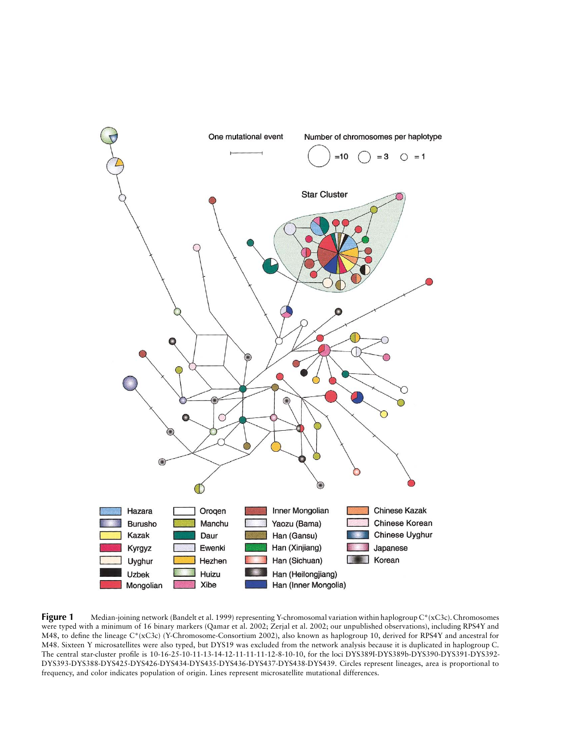

**Figure 1** Median-joining network (Bandelt et al. 1999) representing Y-chromosomal variation within haplogroup C\*(xC3c). Chromosomes were typed with a minimum of 16 binary markers (Qamar et al. 2002; Zerjal et al. 2002; our unpublished observations), including RPS4Y and M48, to define the lineage C\*(xC3c) (Y-Chromosome-Consortium 2002), also known as haplogroup 10, derived for RPS4Y and ancestral for M48. Sixteen Y microsatellites were also typed, but DYS19 was excluded from the network analysis because it is duplicated in haplogroup C. The central star-cluster profile is 10-16-25-10-11-13-14-12-11-11-11-12-8-10-10, for the loci DYS389I-DYS389b-DYS390-DYS391-DYS392- DYS393-DYS388-DYS425-DYS426-DYS434-DYS435-DYS436-DYS437-DYS438-DYS439. Circles represent lineages, area is proportional to frequency, and color indicates population of origin. Lines represent microsatellite mutational differences.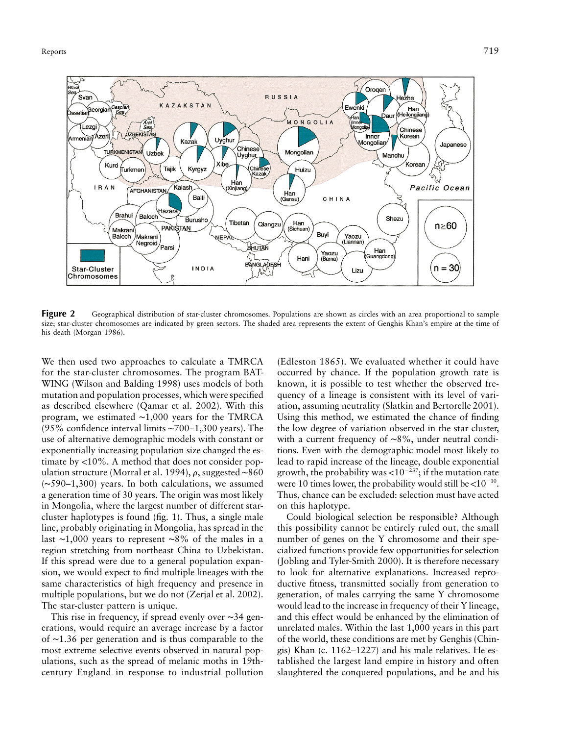

**Figure 2** Geographical distribution of star-cluster chromosomes. Populations are shown as circles with an area proportional to sample size; star-cluster chromosomes are indicated by green sectors. The shaded area represents the extent of Genghis Khan's empire at the time of his death (Morgan 1986).

We then used two approaches to calculate a TMRCA for the star-cluster chromosomes. The program BAT-WING (Wilson and Balding 1998) uses models of both mutation and population processes, which were specified as described elsewhere (Qamar et al. 2002). With this program, we estimated ∼1,000 years for the TMRCA (95% confidence interval limits ∼700–1,300 years). The use of alternative demographic models with constant or exponentially increasing population size changed the estimate by  $< 10\%$ . A method that does not consider population structure (Morral et al. 1994),  $\rho$ , suggested ∼860 (∼590–1,300) years. In both calculations, we assumed a generation time of 30 years. The origin was most likely in Mongolia, where the largest number of different starcluster haplotypes is found (fig. 1). Thus, a single male line, probably originating in Mongolia, has spread in the last ∼1,000 years to represent ∼8% of the males in a region stretching from northeast China to Uzbekistan. If this spread were due to a general population expansion, we would expect to find multiple lineages with the same characteristics of high frequency and presence in multiple populations, but we do not (Zerjal et al. 2002). The star-cluster pattern is unique.

This rise in frequency, if spread evenly over ∼34 generations, would require an average increase by a factor of ∼1.36 per generation and is thus comparable to the most extreme selective events observed in natural populations, such as the spread of melanic moths in 19thcentury England in response to industrial pollution

(Edleston 1865). We evaluated whether it could have occurred by chance. If the population growth rate is known, it is possible to test whether the observed frequency of a lineage is consistent with its level of variation, assuming neutrality (Slatkin and Bertorelle 2001). Using this method, we estimated the chance of finding the low degree of variation observed in the star cluster, with a current frequency of ∼8%, under neutral conditions. Even with the demographic model most likely to lead to rapid increase of the lineage, double exponential growth, the probability was < $10^{-237}$ ; if the mutation rate were 10 times lower, the probability would still be < $10^{-10}$ . Thus, chance can be excluded: selection must have acted on this haplotype.

Could biological selection be responsible? Although this possibility cannot be entirely ruled out, the small number of genes on the Y chromosome and their specialized functions provide few opportunities for selection (Jobling and Tyler-Smith 2000). It is therefore necessary to look for alternative explanations. Increased reproductive fitness, transmitted socially from generation to generation, of males carrying the same Y chromosome would lead to the increase in frequency of their Y lineage, and this effect would be enhanced by the elimination of unrelated males. Within the last 1,000 years in this part of the world, these conditions are met by Genghis (Chingis) Khan (c. 1162–1227) and his male relatives. He established the largest land empire in history and often slaughtered the conquered populations, and he and his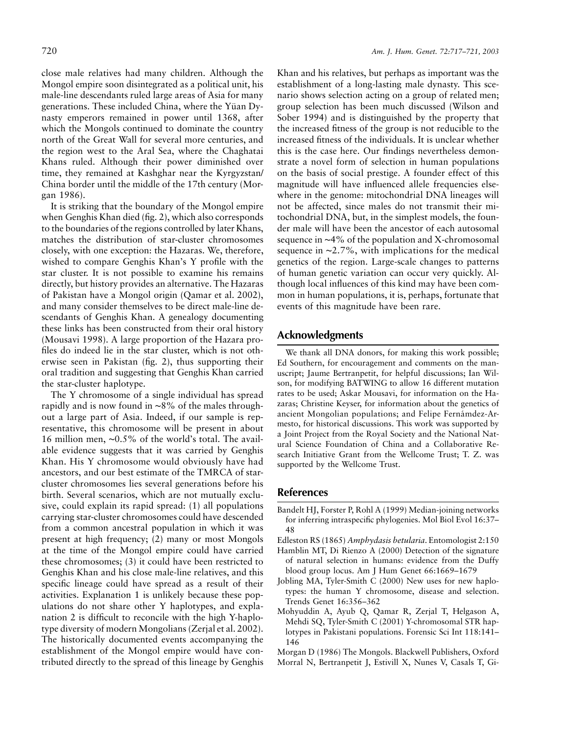close male relatives had many children. Although the Mongol empire soon disintegrated as a political unit, his male-line descendants ruled large areas of Asia for many generations. These included China, where the Yüan Dynasty emperors remained in power until 1368, after which the Mongols continued to dominate the country north of the Great Wall for several more centuries, and the region west to the Aral Sea, where the Chaghatai Khans ruled. Although their power diminished over time, they remained at Kashghar near the Kyrgyzstan/ China border until the middle of the 17th century (Morgan 1986).

It is striking that the boundary of the Mongol empire when Genghis Khan died (fig. 2), which also corresponds to the boundaries of the regions controlled by later Khans, matches the distribution of star-cluster chromosomes closely, with one exception: the Hazaras. We, therefore, wished to compare Genghis Khan's Y profile with the star cluster. It is not possible to examine his remains directly, but history provides an alternative. The Hazaras of Pakistan have a Mongol origin (Qamar et al. 2002), and many consider themselves to be direct male-line descendants of Genghis Khan. A genealogy documenting these links has been constructed from their oral history (Mousavi 1998). A large proportion of the Hazara profiles do indeed lie in the star cluster, which is not otherwise seen in Pakistan (fig. 2), thus supporting their oral tradition and suggesting that Genghis Khan carried the star-cluster haplotype.

The Y chromosome of a single individual has spread rapidly and is now found in ∼8% of the males throughout a large part of Asia. Indeed, if our sample is representative, this chromosome will be present in about 16 million men, ∼0.5% of the world's total. The available evidence suggests that it was carried by Genghis Khan. His Y chromosome would obviously have had ancestors, and our best estimate of the TMRCA of starcluster chromosomes lies several generations before his birth. Several scenarios, which are not mutually exclusive, could explain its rapid spread: (1) all populations carrying star-cluster chromosomes could have descended from a common ancestral population in which it was present at high frequency; (2) many or most Mongols at the time of the Mongol empire could have carried these chromosomes; (3) it could have been restricted to Genghis Khan and his close male-line relatives, and this specific lineage could have spread as a result of their activities. Explanation 1 is unlikely because these populations do not share other Y haplotypes, and explanation 2 is difficult to reconcile with the high Y-haplotype diversity of modern Mongolians (Zerjal et al. 2002). The historically documented events accompanying the establishment of the Mongol empire would have contributed directly to the spread of this lineage by Genghis

Khan and his relatives, but perhaps as important was the establishment of a long-lasting male dynasty. This scenario shows selection acting on a group of related men; group selection has been much discussed (Wilson and Sober 1994) and is distinguished by the property that the increased fitness of the group is not reducible to the increased fitness of the individuals. It is unclear whether this is the case here. Our findings nevertheless demonstrate a novel form of selection in human populations on the basis of social prestige. A founder effect of this magnitude will have influenced allele frequencies elsewhere in the genome: mitochondrial DNA lineages will not be affected, since males do not transmit their mitochondrial DNA, but, in the simplest models, the founder male will have been the ancestor of each autosomal sequence in ∼4% of the population and X-chromosomal sequence in ∼2.7%, with implications for the medical genetics of the region. Large-scale changes to patterns of human genetic variation can occur very quickly. Although local influences of this kind may have been common in human populations, it is, perhaps, fortunate that events of this magnitude have been rare.

## **Acknowledgments**

We thank all DNA donors, for making this work possible; Ed Southern, for encouragement and comments on the manuscript; Jaume Bertranpetit, for helpful discussions; Ian Wilson, for modifying BATWING to allow 16 different mutation rates to be used; Askar Mousavi, for information on the Hazaras; Christine Keyser, for information about the genetics of ancient Mongolian populations; and Felipe Fernámdez-Armesto, for historical discussions. This work was supported by a Joint Project from the Royal Society and the National Natural Science Foundation of China and a Collaborative Research Initiative Grant from the Wellcome Trust; T. Z. was supported by the Wellcome Trust.

## **References**

- Bandelt HJ, Forster P, Rohl A (1999) Median-joining networks for inferring intraspecific phylogenies. Mol Biol Evol 16:37– 48
- Edleston RS (1865) *Amphydasis betularia*. Entomologist 2:150
- Hamblin MT, Di Rienzo A (2000) Detection of the signature of natural selection in humans: evidence from the Duffy blood group locus. Am J Hum Genet 66:1669–1679
- Jobling MA, Tyler-Smith C (2000) New uses for new haplotypes: the human Y chromosome, disease and selection. Trends Genet 16:356–362
- Mohyuddin A, Ayub Q, Qamar R, Zerjal T, Helgason A, Mehdi SQ, Tyler-Smith C (2001) Y-chromosomal STR haplotypes in Pakistani populations. Forensic Sci Int 118:141– 146
- Morgan D (1986) The Mongols. Blackwell Publishers, Oxford Morral N, Bertranpetit J, Estivill X, Nunes V, Casals T, Gi-